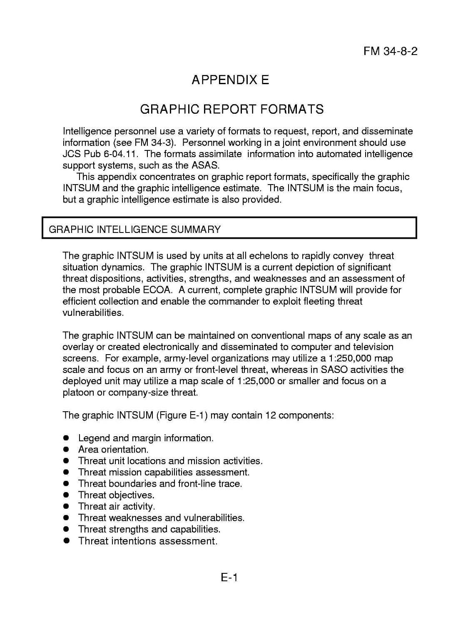## **APPENDIX E**

## **GRAPHIC REPORT FORMATS**

Intelligence personnel use a variety of formats to request, report, and disseminate information (see FM 34-3). Personnel working in a joint environment should use JCS Pub 6-04.11. The formats assimilate information into automated intelligence support systems, such as the ASAS.

This appendix concentrates on graphic report formats, specifically the graphic INTSUM and the graphic intelligence estimate. The INTSUM is the main focus, but a graphic intelligence estimate is also provided.

## GRAPHIC INTELLIGENCE SUMMARY

I

The graphic INTSUM is used by units at all echelons to rapidly convey threat situation dynamics. The graphic INTSUM is a current depiction of significant threat dispositions, activities, strengths, and weaknesses and an assessment of the most probable ECOA. A current, complete graphic INTSUM will provide for efficient collection and enable the commander to exploit fleeting threat vulnerabilities.

The graphic INTSUM can be maintained on conventional maps of any scale as an overlay or created electronically and disseminated to computer and television screens. For example, army-level organizations may utilize a 1:250,000 map scale and focus on an army or front-level threat, whereas in SASO activities the deployed unit may utilize a map scale of 1:25,000 or smaller and focus on a platoon or company-size threat.

The graphic INTSUM (Figure E-1) may contain 12 components:

- Legend and margin information.
- . Area orientation.
- . Threat unit locations and mission activities.
- . Threat mission capabilities assessment.
- . Threat boundaries and front-line trace.
- **•** Threat objectives.
- **•** Threat air activity.
- . Threat weaknesses and vulnerabilities.
- . Threat strengths and capabilities.
- . Threat intentions assessment.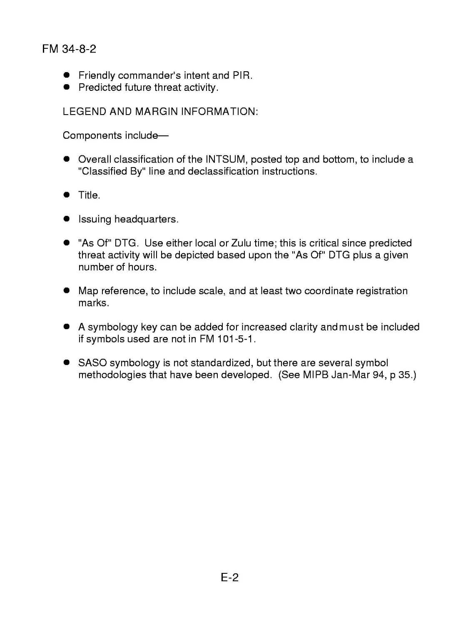## **FM** 34-8-2

- . Friendly commander's intent and PIR.
- **•** Predicted future threat activity.

LEGEND AND MARGIN INFORMATION:

Components include-

- . Overall classification of the INTSUM,posted top and bottom, to include a "Classified By" line and declassification instructions.
- . Title.
- $\bullet$  Issuing headquarters.
- . "As Of" DTG. Use either local or Zulu time; this is criticalsince predicted threat activity will be depicted based upon the "As Of" DTG plus a given number of hours.
- . Map reference, to include scale, and at least two coordinate registration marks.
- . A symbology key can be added for increased clarity and must be included if symbols used are not in FM 101-5-1.
- . SASO symbology is not standardized, but there are several symbol methodologies that have been developed. (See MIPB Jan-Mar 94, p 35.)